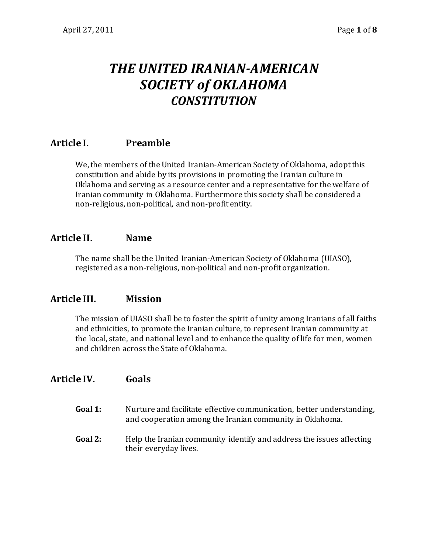# *THE UNITED IRANIAN-AMERICAN SOCIETY of OKLAHOMA CONSTITUTION*

# **Article I. Preamble**

We, the members of the United Iranian-American Society of Oklahoma, adopt this constitution and abide by its provisions in promoting the Iranian culture in Oklahoma and serving as a resource center and a representative for the welfare of Iranian community in Oklahoma. Furthermore this society shall be considered a non-religious, non-political, and non-profit entity.

## **Article II. Name**

The name shall be the United Iranian-American Society of Oklahoma (UIASO), registered as a non-religious, non-political and non-profit organization.

## **Article III. Mission**

The mission of UIASO shall be to foster the spirit of unity among Iranians of all faiths and ethnicities, to promote the Iranian culture, to represent Iranian community at the local, state, and national level and to enhance the quality of life for men, women and children across the State of Oklahoma.

# **Article IV. Goals**

- **Goal 1:** Nurture and facilitate effective communication, better understanding, and cooperation among the Iranian community in Oklahoma.
- Goal 2: Help the Iranian community identify and address the issues affecting their everyday lives.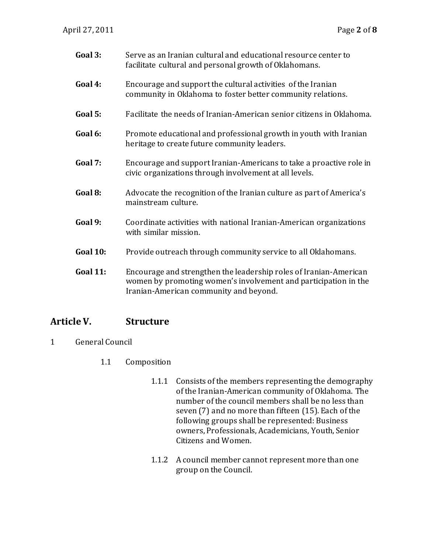| Goal 3:         | Serve as an Iranian cultural and educational resource center to<br>facilitate cultural and personal growth of Oklahomans.                                                      |
|-----------------|--------------------------------------------------------------------------------------------------------------------------------------------------------------------------------|
| Goal 4:         | Encourage and support the cultural activities of the Iranian<br>community in Oklahoma to foster better community relations.                                                    |
| Goal 5:         | Facilitate the needs of Iranian-American senior citizens in Oklahoma.                                                                                                          |
| Goal 6:         | Promote educational and professional growth in youth with Iranian<br>heritage to create future community leaders.                                                              |
| Goal 7:         | Encourage and support Iranian-Americans to take a proactive role in<br>civic organizations through involvement at all levels.                                                  |
| Goal 8:         | Advocate the recognition of the Iranian culture as part of America's<br>mainstream culture.                                                                                    |
| Goal 9:         | Coordinate activities with national Iranian-American organizations<br>with similar mission.                                                                                    |
| <b>Goal 10:</b> | Provide outreach through community service to all Oklahomans.                                                                                                                  |
| <b>Goal 11:</b> | Encourage and strengthen the leadership roles of Iranian-American<br>women by promoting women's involvement and participation in the<br>Iranian-American community and beyond. |

## **Article V. Structure**

- 1 General Council
	- 1.1 Composition
		- 1.1.1 Consists of the members representing the demography of the Iranian-American community of Oklahoma. The number of the council members shall be no less than seven (7) and no more than fifteen (15). Each of the following groups shall be represented: Business owners, Professionals, Academicians, Youth, Senior Citizens and Women.
		- 1.1.2 A council member cannot represent more than one group on the Council.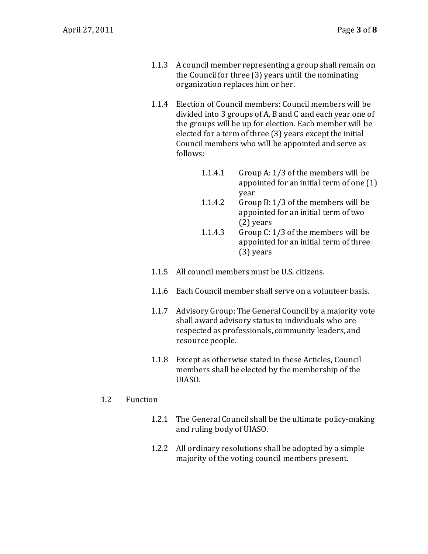- 1.1.3 A council member representing a group shall remain on the Council for three (3) years until the nominating organization replaces him or her.
- 1.1.4 Election of Council members: Council members will be divided into 3 groups of A, B and C and each year one of the groups will be up for election. Each member will be elected for a term of three (3) years except the initial Council members who will be appointed and serve as follows:
	- 1.1.4.1 Group A: 1/3 of the members will be appointed for an initial term of one (1) year
	- 1.1.4.2 Group B: 1/3 of the members will be appointed for an initial term of two (2) years
	- 1.1.4.3 Group C: 1/3 of the members will be appointed for an initial term of three (3) years
- 1.1.5 All council members must be U.S. citizens.
- 1.1.6 Each Council member shall serve on a volunteer basis.
- 1.1.7 Advisory Group: The General Council by a majority vote shall award advisory status to individuals who are respected as professionals, community leaders, and resource people.
- 1.1.8 Except as otherwise stated in these Articles, Council members shall be elected by the membership of the UIASO.

#### 1.2 Function

- 1.2.1 The General Council shall be the ultimate policy-making and ruling body of UIASO.
- 1.2.2 All ordinary resolutions shall be adopted by a simple majority of the voting council members present.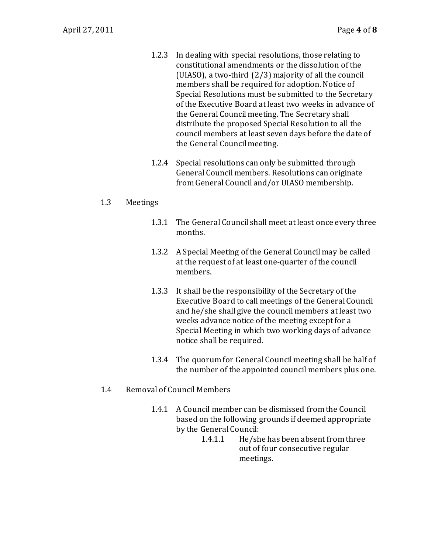- 1.2.3 In dealing with special resolutions, those relating to constitutional amendments or the dissolution of the (UIASO), a two-third (2/3) majority of all the council members shall be required for adoption. Notice of Special Resolutions must be submitted to the Secretary of the Executive Board at least two weeks in advance of the General Council meeting. The Secretary shall distribute the proposed Special Resolution to all the council members at least seven days before the date of the General Council meeting.
- 1.2.4 Special resolutions can only be submitted through General Council members. Resolutions can originate from General Council and/or UIASO membership.

#### 1.3 Meetings

- 1.3.1 The General Council shall meet at least once every three months.
- 1.3.2 A Special Meeting of the General Council may be called at the request of at least one-quarter of the council members.
- 1.3.3 It shall be the responsibility of the Secretary of the Executive Board to call meetings of the General Council and he/she shall give the council members at least two weeks advance notice of the meeting except for a Special Meeting in which two working days of advance notice shall be required.
- 1.3.4 The quorum for General Council meeting shall be half of the number of the appointed council members plus one.
- 1.4 Removal of Council Members
	- 1.4.1 A Council member can be dismissed from the Council based on the following grounds if deemed appropriate by the General Council:
		- 1.4.1.1 He/she has been absent from three out of four consecutive regular meetings.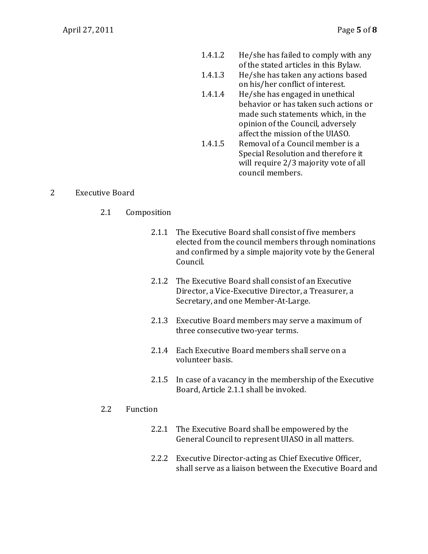- 1.4.1.2 He/she has failed to comply with any of the stated articles in this Bylaw.
- 1.4.1.3 He/she has taken any actions based on his/her conflict of interest.
- 1.4.1.4 He/she has engaged in unethical behavior or has taken such actions or made such statements which, in the opinion of the Council, adversely affect the mission of the UIASO.
- 1.4.1.5 Removal of a Council member is a Special Resolution and therefore it will require 2/3 majority vote of all council members.

#### 2 Executive Board

- 2.1 Composition
	- 2.1.1 The Executive Board shall consist of five members elected from the council members through nominations and confirmed by a simple majority vote by the General Council.
	- 2.1.2 The Executive Board shall consist of an Executive Director, a Vice-Executive Director, a Treasurer, a Secretary, and one Member-At-Large.
	- 2.1.3 Executive Board members may serve a maximum of three consecutive two-year terms.
	- 2.1.4 Each Executive Board members shall serve on a volunteer basis.
	- 2.1.5 In case of a vacancy in the membership of the Executive Board, Article 2.1.1 shall be invoked.

#### 2.2 Function

- 2.2.1 The Executive Board shall be empowered by the General Council to represent UIASO in all matters.
- 2.2.2 Executive Director-acting as Chief Executive Officer, shall serve as a liaison between the Executive Board and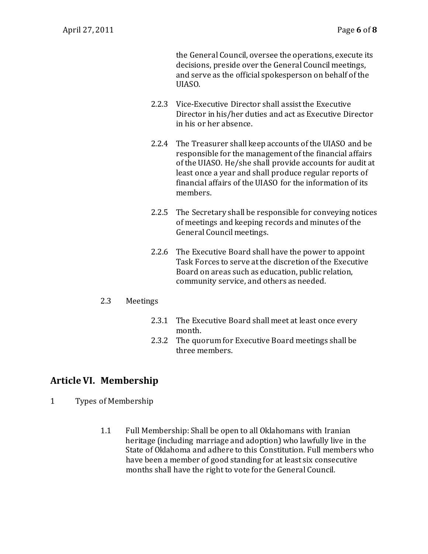the General Council, oversee the operations, execute its decisions, preside over the General Council meetings, and serve as the official spokesperson on behalf of the UIASO.

- 2.2.3 Vice-Executive Director shall assist the Executive Director in his/her duties and act as Executive Director in his or her absence.
- 2.2.4 The Treasurer shall keep accounts of the UIASO and be responsible for the management of the financial affairs of the UIASO. He/she shall provide accounts for audit at least once a year and shall produce regular reports of financial affairs of the UIASO for the information of its members.
- 2.2.5 The Secretary shall be responsible for conveying notices of meetings and keeping records and minutes of the General Council meetings.
- 2.2.6 The Executive Board shall have the power to appoint Task Forces to serve at the discretion of the Executive Board on areas such as education, public relation, community service, and others as needed.

#### 2.3 Meetings

- 2.3.1 The Executive Board shall meet at least once every month.
- 2.3.2 The quorum for Executive Board meetings shall be three members.

# **Article VI. Membership**

- 1 Types of Membership
	- 1.1 Full Membership: Shall be open to all Oklahomans with Iranian heritage (including marriage and adoption) who lawfully live in the State of Oklahoma and adhere to this Constitution. Full members who have been a member of good standing for at least six consecutive months shall have the right to vote for the General Council.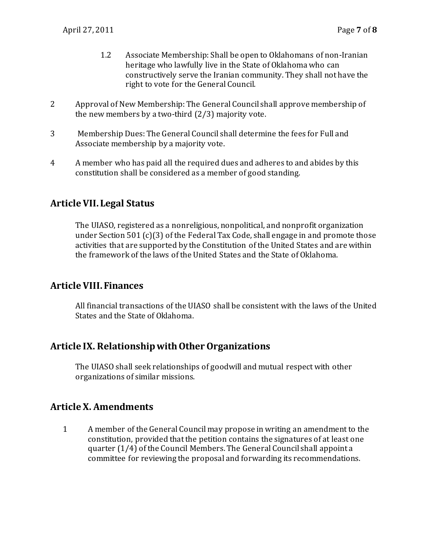- 1.2 Associate Membership: Shall be open to Oklahomans of non-Iranian heritage who lawfully live in the State of Oklahoma who can constructively serve the Iranian community. They shall not have the right to vote for the General Council.
- 2 Approval of New Membership: The General Council shall approve membership of the new members by a two-third (2/3) majority vote.
- 3 Membership Dues: The General Council shall determine the fees for Full and Associate membership by a majority vote.
- 4 A member who has paid all the required dues and adheres to and abides by this constitution shall be considered as a member of good standing.

# **Article VII. Legal Status**

The UIASO, registered as a nonreligious, nonpolitical, and nonprofit organization under Section 501 (c)(3) of the Federal Tax Code, shall engage in and promote those activities that are supported by the Constitution of the United States and are within the framework of the laws of the United States and the State of Oklahoma.

## **Article VIII. Finances**

All financial transactions of the UIASO shall be consistent with the laws of the United States and the State of Oklahoma.

## **Article IX. Relationship with Other Organizations**

The UIASO shall seek relationships of goodwill and mutual respect with other organizations of similar missions.

## **Article X. Amendments**

1 A member of the General Council may propose in writing an amendment to the constitution, provided that the petition contains the signatures of at least one quarter (1/4) of the Council Members. The General Council shall appoint a committee for reviewing the proposal and forwarding its recommendations.